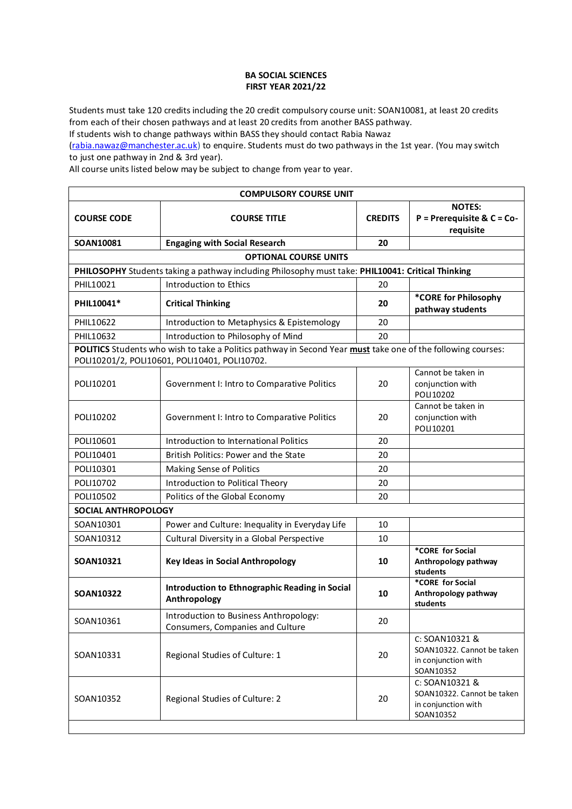## **BA SOCIAL SCIENCES FIRST YEAR 2021/22**

Students must take 120 credits including the 20 credit compulsory course unit: SOAN10081, at least 20 credits from each of their chosen pathways and at least 20 credits from another BASS pathway.

If students wish to change pathways within BASS they should contact Rabia Nawaz

[\(rabia.nawaz@manchester.ac.uk\)](mailto:rabia.nawaz@manchester.ac.uk) to enquire. Students must do two pathways in the 1st year. (You may switch to just one pathway in 2nd & 3rd year).

All course units listed below may be subject to change from year to year.

| <b>COMPULSORY COURSE UNIT</b> |                                                                                                                                                               |                |                                                                                  |  |
|-------------------------------|---------------------------------------------------------------------------------------------------------------------------------------------------------------|----------------|----------------------------------------------------------------------------------|--|
| <b>COURSE CODE</b>            | <b>COURSE TITLE</b>                                                                                                                                           | <b>CREDITS</b> | <b>NOTES:</b><br>$P = Prerequire & C = Co-$<br>requisite                         |  |
| SOAN10081                     | <b>Engaging with Social Research</b>                                                                                                                          | 20             |                                                                                  |  |
|                               | <b>OPTIONAL COURSE UNITS</b>                                                                                                                                  |                |                                                                                  |  |
|                               | PHILOSOPHY Students taking a pathway including Philosophy must take: PHIL10041: Critical Thinking                                                             |                |                                                                                  |  |
| PHIL10021                     | Introduction to Ethics                                                                                                                                        | 20             |                                                                                  |  |
| PHIL10041*                    | <b>Critical Thinking</b>                                                                                                                                      | 20             | *CORE for Philosophy<br>pathway students                                         |  |
| PHIL10622                     | Introduction to Metaphysics & Epistemology                                                                                                                    | 20             |                                                                                  |  |
| PHIL10632                     | Introduction to Philosophy of Mind                                                                                                                            | 20             |                                                                                  |  |
|                               | POLITICS Students who wish to take a Politics pathway in Second Year must take one of the following courses:<br>POLI10201/2, POLI10601, POLI10401, POLI10702. |                |                                                                                  |  |
| POLI10201                     | Government I: Intro to Comparative Politics                                                                                                                   | 20             | Cannot be taken in<br>conjunction with<br>POLI10202                              |  |
| POLI10202                     | Government I: Intro to Comparative Politics                                                                                                                   | 20             | Cannot be taken in<br>conjunction with<br>POLI10201                              |  |
| POLI10601                     | Introduction to International Politics                                                                                                                        | 20             |                                                                                  |  |
| POLI10401                     | British Politics: Power and the State                                                                                                                         | 20             |                                                                                  |  |
| POLI10301                     | Making Sense of Politics                                                                                                                                      | 20             |                                                                                  |  |
| POLI10702                     | Introduction to Political Theory                                                                                                                              | 20             |                                                                                  |  |
| POLI10502                     | Politics of the Global Economy                                                                                                                                | 20             |                                                                                  |  |
| <b>SOCIAL ANTHROPOLOGY</b>    |                                                                                                                                                               |                |                                                                                  |  |
| SOAN10301                     | Power and Culture: Inequality in Everyday Life                                                                                                                | 10             |                                                                                  |  |
| SOAN10312                     | Cultural Diversity in a Global Perspective                                                                                                                    | 10             |                                                                                  |  |
| SOAN10321                     | <b>Key Ideas in Social Anthropology</b>                                                                                                                       | 10             | *CORE for Social<br>Anthropology pathway<br>students                             |  |
| <b>SOAN10322</b>              | Introduction to Ethnographic Reading in Social<br>Anthropology                                                                                                | 10             | *CORE for Social<br>Anthropology pathway<br>students                             |  |
| SOAN10361                     | Introduction to Business Anthropology:<br>Consumers, Companies and Culture                                                                                    | 20             |                                                                                  |  |
| SOAN10331                     | Regional Studies of Culture: 1                                                                                                                                | 20             | C: SOAN10321 &<br>SOAN10322. Cannot be taken<br>in conjunction with<br>SOAN10352 |  |
| SOAN10352                     | Regional Studies of Culture: 2                                                                                                                                | 20             | C: SOAN10321 &<br>SOAN10322. Cannot be taken<br>in conjunction with<br>SOAN10352 |  |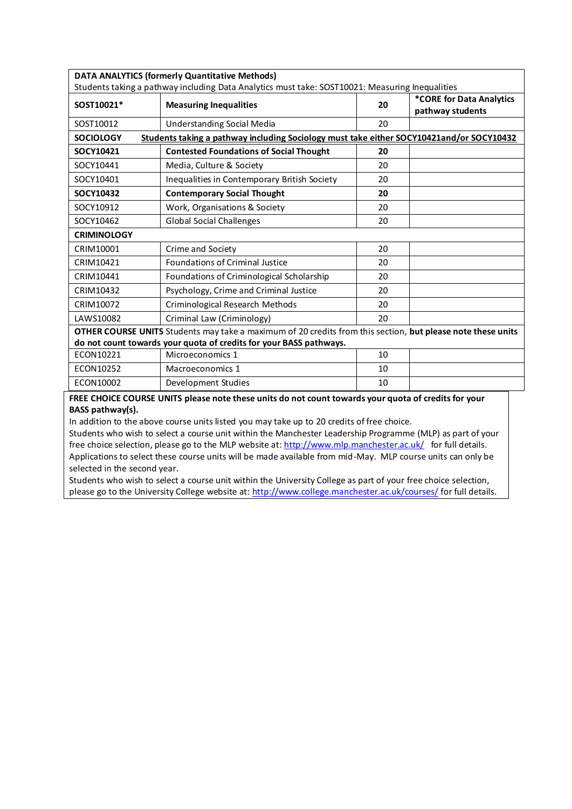| <b>DATA ANALYTICS (formerly Quantitative Methods)</b>                                                       |                                                                                                                                  |    |                                              |  |
|-------------------------------------------------------------------------------------------------------------|----------------------------------------------------------------------------------------------------------------------------------|----|----------------------------------------------|--|
| SOST10021*                                                                                                  | Students taking a pathway including Data Analytics must take: SOST10021: Measuring Inequalities<br><b>Measuring Inequalities</b> | 20 | *CORE for Data Analytics<br>pathway students |  |
| SOST10012                                                                                                   | <b>Understanding Social Media</b>                                                                                                | 20 |                                              |  |
| <b>SOCIOLOGY</b>                                                                                            | Students taking a pathway including Sociology must take either SOCY10421and/or SOCY10432                                         |    |                                              |  |
| SOCY10421                                                                                                   | <b>Contested Foundations of Social Thought</b>                                                                                   | 20 |                                              |  |
| SOCY10441                                                                                                   | Media, Culture & Society                                                                                                         | 20 |                                              |  |
| SOCY10401                                                                                                   | Inequalities in Contemporary British Society                                                                                     | 20 |                                              |  |
| SOCY10432                                                                                                   | <b>Contemporary Social Thought</b>                                                                                               | 20 |                                              |  |
| SOCY10912                                                                                                   | Work, Organisations & Society                                                                                                    | 20 |                                              |  |
| SOCY10462                                                                                                   | <b>Global Social Challenges</b>                                                                                                  | 20 |                                              |  |
| <b>CRIMINOLOGY</b>                                                                                          |                                                                                                                                  |    |                                              |  |
| CRIM10001                                                                                                   | Crime and Society                                                                                                                | 20 |                                              |  |
| CRIM10421                                                                                                   | <b>Foundations of Criminal Justice</b>                                                                                           | 20 |                                              |  |
| CRIM10441                                                                                                   | Foundations of Criminological Scholarship                                                                                        | 20 |                                              |  |
| CRIM10432                                                                                                   | Psychology, Crime and Criminal Justice                                                                                           | 20 |                                              |  |
| CRIM10072                                                                                                   | Criminological Research Methods                                                                                                  | 20 |                                              |  |
| LAWS10082                                                                                                   | Criminal Law (Criminology)                                                                                                       | 20 |                                              |  |
| OTHER COURSE UNITS Students may take a maximum of 20 credits from this section, but please note these units |                                                                                                                                  |    |                                              |  |
| do not count towards your quota of credits for your BASS pathways.                                          |                                                                                                                                  |    |                                              |  |
| ECON10221                                                                                                   | Microeconomics 1                                                                                                                 | 10 |                                              |  |
| ECON10252                                                                                                   | Macroeconomics 1                                                                                                                 | 10 |                                              |  |
| ECON10002                                                                                                   | Development Studies                                                                                                              | 10 |                                              |  |

**FREE CHOICE COURSE UNITS please note these units do not count towards your quota of credits for your BASS pathway(s).**

In addition to the above course units listed you may take up to 20 credits of free choice.

Students who wish to select a course unit within the Manchester Leadership Programme (MLP) as part of your free choice selection, please go to the MLP website at[: http://www.mlp.manchester.ac.uk/](http://www.mlp.manchester.ac.uk/) for full details. Applications to select these course units will be made available from mid-May. MLP course units can only be selected in the second year.

Students who wish to select a course unit within the University College as part of your free choice selection, please go to the University College website at[: http://www.college.manchester.ac.uk/courses/](http://www.college.manchester.ac.uk/courses/) for full details.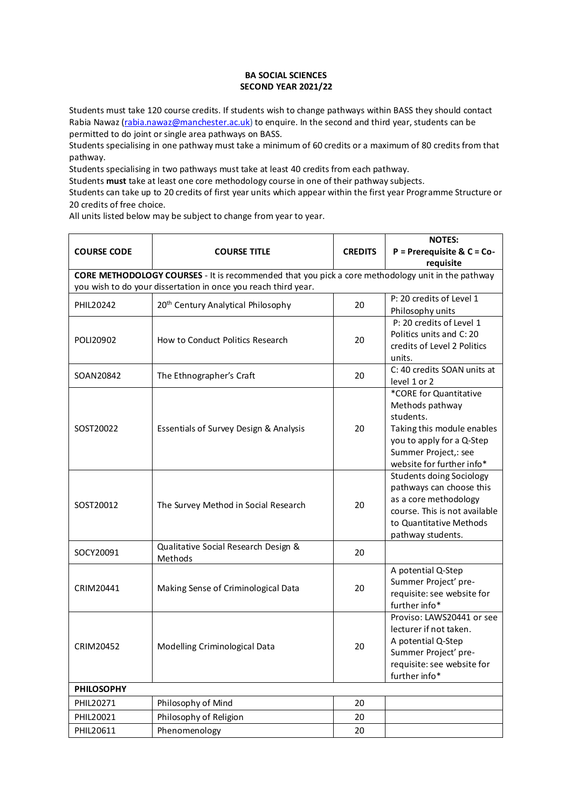## **BA SOCIAL SCIENCES SECOND YEAR 2021/22**

Students must take 120 course credits. If students wish to change pathways within BASS they should contact Rabia Nawaz [\(rabia.nawaz@manchester.ac.uk\)](mailto:rabia.nawaz@manchester.ac.uk) to enquire. In the second and third year, students can be permitted to do joint or single area pathways on BASS.

Students specialising in one pathway must take a minimum of 60 credits or a maximum of 80 credits from that pathway.

Students specialising in two pathways must take at least 40 credits from each pathway.

Students **must** take at least one core methodology course in one of their pathway subjects.

Students can take up to 20 credits of first year units which appear within the first year Programme Structure or 20 credits of free choice.

All units listed below may be subject to change from year to year.

|                    |                                                                                                                                                                            |                | <b>NOTES:</b>                                                                                                                                                          |  |
|--------------------|----------------------------------------------------------------------------------------------------------------------------------------------------------------------------|----------------|------------------------------------------------------------------------------------------------------------------------------------------------------------------------|--|
| <b>COURSE CODE</b> | <b>COURSE TITLE</b>                                                                                                                                                        | <b>CREDITS</b> | $P = Prerequires & C = Co-$                                                                                                                                            |  |
|                    |                                                                                                                                                                            |                | requisite                                                                                                                                                              |  |
|                    | <b>CORE METHODOLOGY COURSES</b> - It is recommended that you pick a core methodology unit in the pathway<br>you wish to do your dissertation in once you reach third year. |                |                                                                                                                                                                        |  |
| PHIL20242          | 20 <sup>th</sup> Century Analytical Philosophy                                                                                                                             | 20             | P: 20 credits of Level 1<br>Philosophy units                                                                                                                           |  |
| POLI20902          | How to Conduct Politics Research                                                                                                                                           | 20             | P: 20 credits of Level 1<br>Politics units and C: 20<br>credits of Level 2 Politics<br>units.                                                                          |  |
| SOAN20842          | The Ethnographer's Craft                                                                                                                                                   | 20             | C: 40 credits SOAN units at<br>level 1 or 2                                                                                                                            |  |
| SOST20022          | Essentials of Survey Design & Analysis                                                                                                                                     | 20             | *CORE for Quantitative<br>Methods pathway<br>students.<br>Taking this module enables<br>you to apply for a Q-Step<br>Summer Project,: see<br>website for further info* |  |
| SOST20012          | The Survey Method in Social Research                                                                                                                                       | 20             | <b>Students doing Sociology</b><br>pathways can choose this<br>as a core methodology<br>course. This is not available<br>to Quantitative Methods<br>pathway students.  |  |
| SOCY20091          | Qualitative Social Research Design &<br>Methods                                                                                                                            | 20             |                                                                                                                                                                        |  |
| CRIM20441          | Making Sense of Criminological Data                                                                                                                                        | 20             | A potential Q-Step<br>Summer Project' pre-<br>requisite: see website for<br>further info*                                                                              |  |
| CRIM20452          | Modelling Criminological Data                                                                                                                                              | 20             | Proviso: LAWS20441 or see<br>lecturer if not taken.<br>A potential Q-Step<br>Summer Project' pre-<br>requisite: see website for<br>further info*                       |  |
| <b>PHILOSOPHY</b>  |                                                                                                                                                                            |                |                                                                                                                                                                        |  |
| PHIL20271          | Philosophy of Mind                                                                                                                                                         | 20             |                                                                                                                                                                        |  |
| PHIL20021          | Philosophy of Religion                                                                                                                                                     | 20             |                                                                                                                                                                        |  |
| PHIL20611          | Phenomenology                                                                                                                                                              | $20\,$         |                                                                                                                                                                        |  |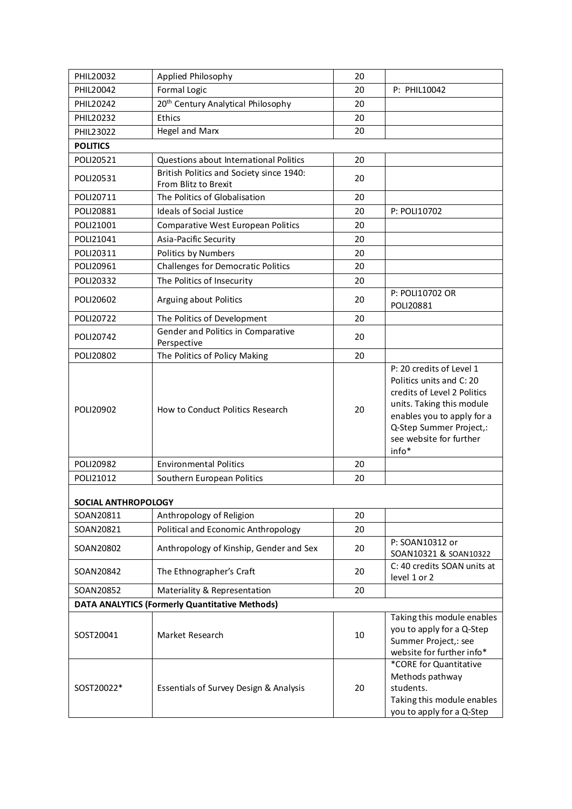| PHIL20032                                             | Applied Philosophy                                               | 20 |                                                                                                                                                                                                               |  |
|-------------------------------------------------------|------------------------------------------------------------------|----|---------------------------------------------------------------------------------------------------------------------------------------------------------------------------------------------------------------|--|
| PHIL20042                                             | Formal Logic                                                     | 20 | P: PHIL10042                                                                                                                                                                                                  |  |
| PHIL20242                                             | 20 <sup>th</sup> Century Analytical Philosophy                   | 20 |                                                                                                                                                                                                               |  |
| PHIL20232                                             | Ethics                                                           | 20 |                                                                                                                                                                                                               |  |
| PHIL23022                                             | Hegel and Marx                                                   | 20 |                                                                                                                                                                                                               |  |
| <b>POLITICS</b>                                       |                                                                  |    |                                                                                                                                                                                                               |  |
| POLI20521                                             | Questions about International Politics                           | 20 |                                                                                                                                                                                                               |  |
| POLI20531                                             | British Politics and Society since 1940:<br>From Blitz to Brexit | 20 |                                                                                                                                                                                                               |  |
| POLI20711                                             | The Politics of Globalisation                                    | 20 |                                                                                                                                                                                                               |  |
| POLI20881                                             | <b>Ideals of Social Justice</b>                                  | 20 | P: POLI10702                                                                                                                                                                                                  |  |
| POLI21001                                             | Comparative West European Politics                               | 20 |                                                                                                                                                                                                               |  |
| POLI21041                                             | Asia-Pacific Security                                            | 20 |                                                                                                                                                                                                               |  |
| POLI20311                                             | Politics by Numbers                                              | 20 |                                                                                                                                                                                                               |  |
| POLI20961                                             | Challenges for Democratic Politics                               | 20 |                                                                                                                                                                                                               |  |
| POLI20332                                             | The Politics of Insecurity                                       | 20 |                                                                                                                                                                                                               |  |
| POLI20602                                             | Arguing about Politics                                           | 20 | P: POLI10702 OR<br>POLI20881                                                                                                                                                                                  |  |
| POLI20722                                             | The Politics of Development                                      | 20 |                                                                                                                                                                                                               |  |
| POLI20742                                             | Gender and Politics in Comparative<br>Perspective                | 20 |                                                                                                                                                                                                               |  |
| POLI20802                                             | The Politics of Policy Making                                    | 20 |                                                                                                                                                                                                               |  |
| POLI20902                                             | How to Conduct Politics Research                                 | 20 | P: 20 credits of Level 1<br>Politics units and C: 20<br>credits of Level 2 Politics<br>units. Taking this module<br>enables you to apply for a<br>Q-Step Summer Project,:<br>see website for further<br>info* |  |
| POLI20982                                             | <b>Environmental Politics</b>                                    | 20 |                                                                                                                                                                                                               |  |
| POLI21012                                             | Southern European Politics                                       | 20 |                                                                                                                                                                                                               |  |
| SOCIAL ANTHROPOLOGY                                   |                                                                  |    |                                                                                                                                                                                                               |  |
| SOAN20811                                             | Anthropology of Religion                                         | 20 |                                                                                                                                                                                                               |  |
| SOAN20821                                             | Political and Economic Anthropology                              | 20 |                                                                                                                                                                                                               |  |
| SOAN20802                                             | Anthropology of Kinship, Gender and Sex                          | 20 | P: SOAN10312 or<br>SOAN10321 & SOAN10322                                                                                                                                                                      |  |
| SOAN20842                                             | The Ethnographer's Craft                                         | 20 | C: 40 credits SOAN units at<br>level 1 or 2                                                                                                                                                                   |  |
| SOAN20852                                             | Materiality & Representation                                     | 20 |                                                                                                                                                                                                               |  |
| <b>DATA ANALYTICS (Formerly Quantitative Methods)</b> |                                                                  |    |                                                                                                                                                                                                               |  |
| SOST20041                                             | Market Research                                                  | 10 | Taking this module enables<br>you to apply for a Q-Step<br>Summer Project,: see<br>website for further info*                                                                                                  |  |
| SOST20022*                                            | Essentials of Survey Design & Analysis                           | 20 | *CORE for Quantitative<br>Methods pathway<br>students.<br>Taking this module enables<br>you to apply for a Q-Step                                                                                             |  |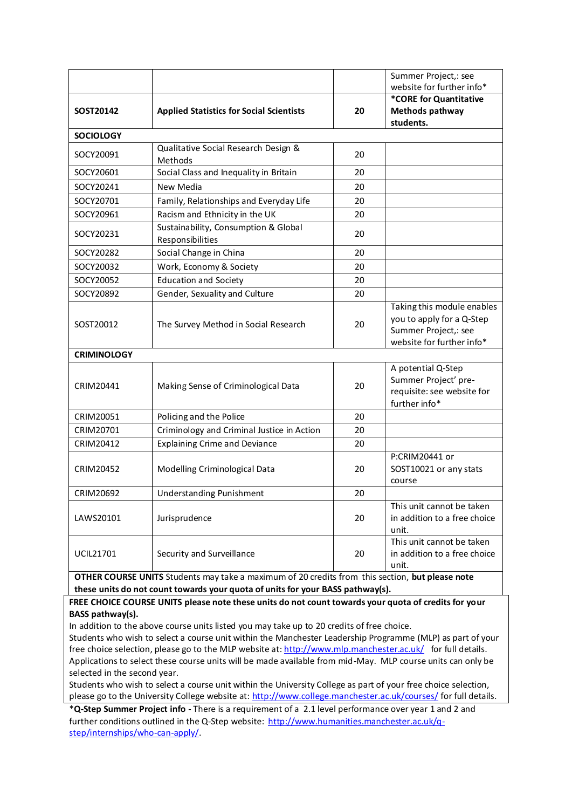| SOST20142                                                                                                                                                                         | <b>Applied Statistics for Social Scientists</b>          | 20 | Summer Project,: see<br>website for further info*<br>*CORE for Quantitative<br>Methods pathway               |
|-----------------------------------------------------------------------------------------------------------------------------------------------------------------------------------|----------------------------------------------------------|----|--------------------------------------------------------------------------------------------------------------|
| <b>SOCIOLOGY</b>                                                                                                                                                                  |                                                          |    | students.                                                                                                    |
|                                                                                                                                                                                   | Qualitative Social Research Design &                     |    |                                                                                                              |
| SOCY20091                                                                                                                                                                         | Methods                                                  | 20 |                                                                                                              |
| SOCY20601                                                                                                                                                                         | Social Class and Inequality in Britain                   | 20 |                                                                                                              |
| SOCY20241                                                                                                                                                                         | New Media                                                | 20 |                                                                                                              |
| SOCY20701                                                                                                                                                                         | Family, Relationships and Everyday Life                  | 20 |                                                                                                              |
| SOCY20961                                                                                                                                                                         | Racism and Ethnicity in the UK                           | 20 |                                                                                                              |
| SOCY20231                                                                                                                                                                         | Sustainability, Consumption & Global<br>Responsibilities | 20 |                                                                                                              |
| SOCY20282                                                                                                                                                                         | Social Change in China                                   | 20 |                                                                                                              |
| SOCY20032                                                                                                                                                                         | Work, Economy & Society                                  | 20 |                                                                                                              |
| SOCY20052                                                                                                                                                                         | <b>Education and Society</b>                             | 20 |                                                                                                              |
| SOCY20892                                                                                                                                                                         | Gender, Sexuality and Culture                            | 20 |                                                                                                              |
| SOST20012                                                                                                                                                                         | The Survey Method in Social Research                     | 20 | Taking this module enables<br>you to apply for a Q-Step<br>Summer Project,: see<br>website for further info* |
| <b>CRIMINOLOGY</b>                                                                                                                                                                |                                                          |    |                                                                                                              |
| CRIM20441                                                                                                                                                                         | Making Sense of Criminological Data                      | 20 | A potential Q-Step<br>Summer Project' pre-<br>requisite: see website for<br>further info*                    |
| CRIM20051                                                                                                                                                                         | Policing and the Police                                  | 20 |                                                                                                              |
| CRIM20701                                                                                                                                                                         | Criminology and Criminal Justice in Action               | 20 |                                                                                                              |
| CRIM20412                                                                                                                                                                         | <b>Explaining Crime and Deviance</b>                     | 20 |                                                                                                              |
| CRIM20452                                                                                                                                                                         | Modelling Criminological Data                            | 20 | P:CRIM20441 or<br>SOST10021 or any stats<br>course                                                           |
| CRIM20692                                                                                                                                                                         | <b>Understanding Punishment</b>                          | 20 |                                                                                                              |
| LAWS20101                                                                                                                                                                         | Jurisprudence                                            | 20 | This unit cannot be taken<br>in addition to a free choice<br>unit.                                           |
| UCIL21701                                                                                                                                                                         | Security and Surveillance                                | 20 | This unit cannot be taken<br>in addition to a free choice<br>unit.                                           |
| OTHER COURSE UNITS Students may take a maximum of 20 credits from this section, but please note<br>these units do not count towards your quota of units for your BASS pathway(s). |                                                          |    |                                                                                                              |

**FREE CHOICE COURSE UNITS please note these units do not count towards your quota of credits for your BASS pathway(s).**

In addition to the above course units listed you may take up to 20 credits of free choice.

Students who wish to select a course unit within the Manchester Leadership Programme (MLP) as part of your free choice selection, please go to the MLP website at[: http://www.mlp.manchester.ac.uk/](http://www.mlp.manchester.ac.uk/) for full details. Applications to select these course units will be made available from mid-May. MLP course units can only be selected in the second year.

Students who wish to select a course unit within the University College as part of your free choice selection, please go to the University College website at[: http://www.college.manchester.ac.uk/courses/](http://www.college.manchester.ac.uk/courses/) for full details.

\***Q-Step Summer Project info** - There is a requirement of a 2.1 level performance over year 1 and 2 and further conditions outlined in the Q-Step website: [http://www.humanities.manchester.ac.uk/q](http://www.humanities.manchester.ac.uk/q-step/internships/who-can-apply/)[step/internships/who-can-apply/.](http://www.humanities.manchester.ac.uk/q-step/internships/who-can-apply/)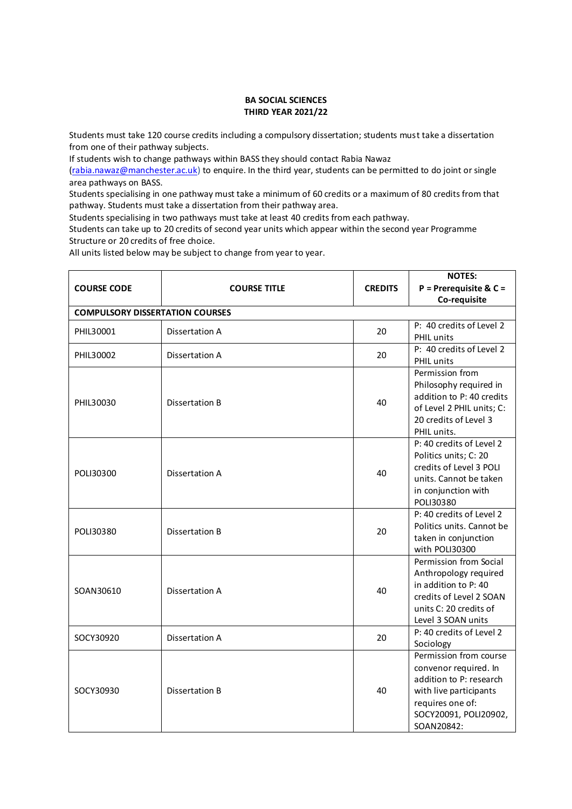## **BA SOCIAL SCIENCES THIRD YEAR 2021/22**

Students must take 120 course credits including a compulsory dissertation; students must take a dissertation from one of their pathway subjects.

If students wish to change pathways within BASS they should contact Rabia Nawaz

[\(rabia.nawaz@manchester.ac.uk\)](mailto:rabia.nawaz@manchester.ac.uk) to enquire. In the third year, students can be permitted to do joint or single area pathways on BASS.

Students specialising in one pathway must take a minimum of 60 credits or a maximum of 80 credits from that pathway. Students must take a dissertation from their pathway area.

Students specialising in two pathways must take at least 40 credits from each pathway.

Students can take up to 20 credits of second year units which appear within the second year Programme Structure or 20 credits of free choice.

All units listed below may be subject to change from year to year.

|                                        |                       |                | <b>NOTES:</b>             |
|----------------------------------------|-----------------------|----------------|---------------------------|
| <b>COURSE CODE</b>                     | <b>COURSE TITLE</b>   | <b>CREDITS</b> | $P = Prerequire & C =$    |
|                                        |                       |                | Co-requisite              |
| <b>COMPULSORY DISSERTATION COURSES</b> |                       |                |                           |
|                                        |                       |                | P: 40 credits of Level 2  |
| PHIL30001                              | Dissertation A        | 20             | PHIL units                |
| PHIL30002                              | Dissertation A        | 20             | P: 40 credits of Level 2  |
|                                        |                       |                | PHIL units                |
|                                        |                       |                | Permission from           |
|                                        |                       |                | Philosophy required in    |
| PHIL30030                              | Dissertation B        | 40             | addition to P: 40 credits |
|                                        |                       |                | of Level 2 PHIL units; C: |
|                                        |                       |                | 20 credits of Level 3     |
|                                        |                       |                | PHIL units.               |
|                                        |                       |                | P: 40 credits of Level 2  |
|                                        |                       |                | Politics units; C: 20     |
| POLI30300                              | Dissertation A        | 40             | credits of Level 3 POLI   |
|                                        |                       |                | units. Cannot be taken    |
|                                        |                       |                | in conjunction with       |
|                                        |                       |                | POLI30380                 |
|                                        | <b>Dissertation B</b> | 20             | P: 40 credits of Level 2  |
| POLI30380                              |                       |                | Politics units. Cannot be |
|                                        |                       |                | taken in conjunction      |
|                                        |                       |                | with POLI30300            |
|                                        | Dissertation A        | 40             | Permission from Social    |
|                                        |                       |                | Anthropology required     |
| SOAN30610                              |                       |                | in addition to P: 40      |
|                                        |                       |                | credits of Level 2 SOAN   |
|                                        |                       |                | units C: 20 credits of    |
|                                        |                       |                | Level 3 SOAN units        |
| SOCY30920                              | Dissertation A        | 20             | P: 40 credits of Level 2  |
|                                        |                       |                | Sociology                 |
| SOCY30930                              |                       | 40             | Permission from course    |
|                                        | Dissertation B        |                | convenor required. In     |
|                                        |                       |                | addition to P: research   |
|                                        |                       |                | with live participants    |
|                                        |                       |                | requires one of:          |
|                                        |                       |                | SOCY20091, POLI20902,     |
|                                        |                       |                | SOAN20842:                |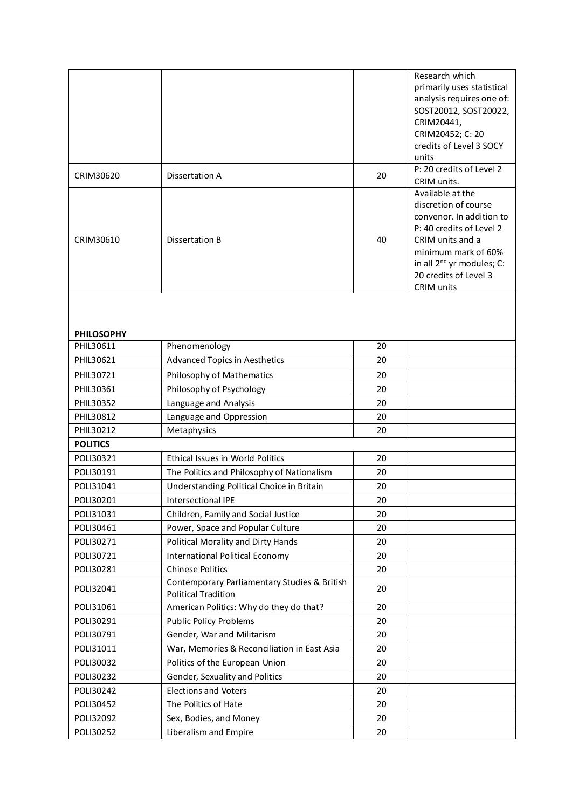|                                |                                              |    | Research which                           |
|--------------------------------|----------------------------------------------|----|------------------------------------------|
|                                |                                              |    | primarily uses statistical               |
|                                |                                              |    | analysis requires one of:                |
|                                |                                              |    | SOST20012, SOST20022,                    |
|                                |                                              |    | CRIM20441,                               |
|                                |                                              |    | CRIM20452; C: 20                         |
|                                |                                              |    | credits of Level 3 SOCY                  |
|                                |                                              |    | units                                    |
| CRIM30620                      | Dissertation A                               | 20 | P: 20 credits of Level 2                 |
|                                |                                              |    | CRIM units.                              |
|                                |                                              |    | Available at the<br>discretion of course |
|                                |                                              |    | convenor. In addition to                 |
|                                |                                              |    | P: 40 credits of Level 2                 |
| CRIM30610                      | Dissertation B                               | 40 | CRIM units and a                         |
|                                |                                              |    | minimum mark of 60%                      |
|                                |                                              |    | in all $2^{nd}$ yr modules; C:           |
|                                |                                              |    | 20 credits of Level 3                    |
|                                |                                              |    | CRIM units                               |
|                                |                                              |    |                                          |
|                                |                                              |    |                                          |
|                                |                                              |    |                                          |
| <b>PHILOSOPHY</b><br>PHIL30611 | Phenomenology                                | 20 |                                          |
| PHIL30621                      | <b>Advanced Topics in Aesthetics</b>         | 20 |                                          |
|                                |                                              |    |                                          |
| PHIL30721                      | Philosophy of Mathematics                    | 20 |                                          |
| PHIL30361                      | Philosophy of Psychology                     | 20 |                                          |
| PHIL30352                      | Language and Analysis                        | 20 |                                          |
| PHIL30812                      | Language and Oppression                      | 20 |                                          |
| PHIL30212                      | Metaphysics                                  | 20 |                                          |
| <b>POLITICS</b>                |                                              |    |                                          |
| POLI30321                      | Ethical Issues in World Politics             | 20 |                                          |
| POLI30191                      | The Politics and Philosophy of Nationalism   | 20 |                                          |
| POLI31041                      | Understanding Political Choice in Britain    | 20 |                                          |
| POLI30201                      | Intersectional IPE                           | 20 |                                          |
| POLI31031                      | Children, Family and Social Justice          | 20 |                                          |
| POLI30461                      | Power, Space and Popular Culture             | 20 |                                          |
| POLI30271                      | Political Morality and Dirty Hands           | 20 |                                          |
| POLI30721                      | <b>International Political Economy</b>       | 20 |                                          |
| POLI30281                      | <b>Chinese Politics</b>                      | 20 |                                          |
|                                | Contemporary Parliamentary Studies & British |    |                                          |
| POLI32041                      | <b>Political Tradition</b>                   | 20 |                                          |
| POLI31061                      | American Politics: Why do they do that?      | 20 |                                          |
| POLI30291                      | <b>Public Policy Problems</b>                | 20 |                                          |
| POLI30791                      | Gender, War and Militarism                   | 20 |                                          |
| POLI31011                      | War, Memories & Reconciliation in East Asia  | 20 |                                          |
| POLI30032                      | Politics of the European Union               | 20 |                                          |
| POLI30232                      | Gender, Sexuality and Politics               | 20 |                                          |
| POLI30242                      | <b>Elections and Voters</b>                  | 20 |                                          |
| POLI30452                      | The Politics of Hate                         | 20 |                                          |
| POLI32092                      | Sex, Bodies, and Money                       | 20 |                                          |
| POLI30252                      | Liberalism and Empire                        | 20 |                                          |
|                                |                                              |    |                                          |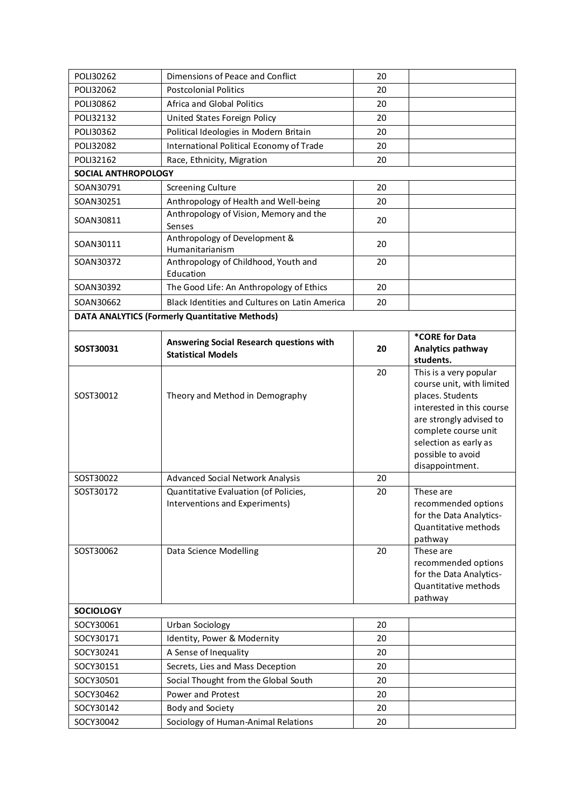| POLI30262                                        | Dimensions of Peace and Conflict                                                                                                                                         | 20                   |                                                                                                                                                                                                                                                                                                                                                                                                                   |
|--------------------------------------------------|--------------------------------------------------------------------------------------------------------------------------------------------------------------------------|----------------------|-------------------------------------------------------------------------------------------------------------------------------------------------------------------------------------------------------------------------------------------------------------------------------------------------------------------------------------------------------------------------------------------------------------------|
| POLI32062                                        | <b>Postcolonial Politics</b>                                                                                                                                             | 20                   |                                                                                                                                                                                                                                                                                                                                                                                                                   |
| POLI30862                                        | Africa and Global Politics                                                                                                                                               | 20                   |                                                                                                                                                                                                                                                                                                                                                                                                                   |
| POLI32132                                        | United States Foreign Policy                                                                                                                                             | 20                   |                                                                                                                                                                                                                                                                                                                                                                                                                   |
| POLI30362                                        | Political Ideologies in Modern Britain                                                                                                                                   | 20                   |                                                                                                                                                                                                                                                                                                                                                                                                                   |
| POLI32082                                        | International Political Economy of Trade                                                                                                                                 | 20                   |                                                                                                                                                                                                                                                                                                                                                                                                                   |
| POLI32162                                        | Race, Ethnicity, Migration                                                                                                                                               | 20                   |                                                                                                                                                                                                                                                                                                                                                                                                                   |
| <b>SOCIAL ANTHROPOLOGY</b>                       |                                                                                                                                                                          |                      |                                                                                                                                                                                                                                                                                                                                                                                                                   |
| SOAN30791                                        | <b>Screening Culture</b>                                                                                                                                                 | 20                   |                                                                                                                                                                                                                                                                                                                                                                                                                   |
| SOAN30251                                        | Anthropology of Health and Well-being                                                                                                                                    | 20                   |                                                                                                                                                                                                                                                                                                                                                                                                                   |
| SOAN30811                                        | Anthropology of Vision, Memory and the<br>Senses                                                                                                                         | 20                   |                                                                                                                                                                                                                                                                                                                                                                                                                   |
| SOAN30111                                        | Anthropology of Development &<br>Humanitarianism                                                                                                                         | 20                   |                                                                                                                                                                                                                                                                                                                                                                                                                   |
| SOAN30372                                        | Anthropology of Childhood, Youth and<br>Education                                                                                                                        | 20                   |                                                                                                                                                                                                                                                                                                                                                                                                                   |
| SOAN30392                                        | The Good Life: An Anthropology of Ethics                                                                                                                                 | 20                   |                                                                                                                                                                                                                                                                                                                                                                                                                   |
| SOAN30662                                        | Black Identities and Cultures on Latin America                                                                                                                           | 20                   |                                                                                                                                                                                                                                                                                                                                                                                                                   |
|                                                  | <b>DATA ANALYTICS (Formerly Quantitative Methods)</b>                                                                                                                    |                      |                                                                                                                                                                                                                                                                                                                                                                                                                   |
| SOST30031                                        | Answering Social Research questions with<br><b>Statistical Models</b>                                                                                                    | 20                   | *CORE for Data<br>Analytics pathway<br>students.                                                                                                                                                                                                                                                                                                                                                                  |
| SOST30012<br>SOST30022<br>SOST30172<br>SOST30062 | Theory and Method in Demography<br>Advanced Social Network Analysis<br>Quantitative Evaluation (of Policies,<br>Interventions and Experiments)<br>Data Science Modelling | 20<br>20<br>20<br>20 | This is a very popular<br>course unit, with limited<br>places. Students<br>interested in this course<br>are strongly advised to<br>complete course unit<br>selection as early as<br>possible to avoid<br>disappointment.<br>These are<br>recommended options<br>for the Data Analytics-<br>Quantitative methods<br>pathway<br>These are<br>recommended options<br>for the Data Analytics-<br>Quantitative methods |
| <b>SOCIOLOGY</b>                                 |                                                                                                                                                                          |                      | pathway                                                                                                                                                                                                                                                                                                                                                                                                           |
| SOCY30061                                        | Urban Sociology                                                                                                                                                          | 20                   |                                                                                                                                                                                                                                                                                                                                                                                                                   |
| SOCY30171                                        | Identity, Power & Modernity                                                                                                                                              | 20                   |                                                                                                                                                                                                                                                                                                                                                                                                                   |
| SOCY30241                                        | A Sense of Inequality                                                                                                                                                    | 20                   |                                                                                                                                                                                                                                                                                                                                                                                                                   |
| SOCY30151                                        | Secrets, Lies and Mass Deception                                                                                                                                         | 20                   |                                                                                                                                                                                                                                                                                                                                                                                                                   |
| SOCY30501                                        | Social Thought from the Global South                                                                                                                                     | 20                   |                                                                                                                                                                                                                                                                                                                                                                                                                   |
| SOCY30462                                        | Power and Protest                                                                                                                                                        | 20                   |                                                                                                                                                                                                                                                                                                                                                                                                                   |
| SOCY30142                                        | Body and Society                                                                                                                                                         | 20                   |                                                                                                                                                                                                                                                                                                                                                                                                                   |
| SOCY30042                                        |                                                                                                                                                                          | 20                   |                                                                                                                                                                                                                                                                                                                                                                                                                   |